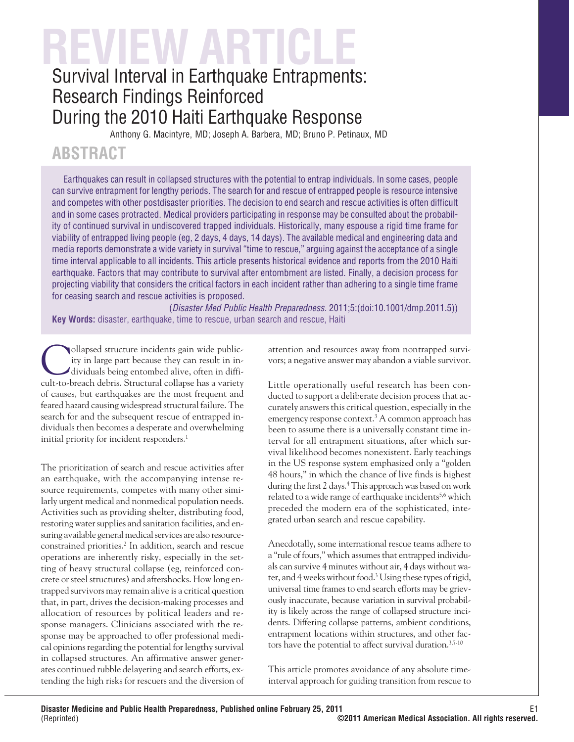# WIEW ARTIC

# Survival Interval in Earthquake Entrapments: Research Findings Reinforced During the 2010 Haiti Earthquake Response

Anthony G. Macintyre, MD; Joseph A. Barbera, MD; Bruno P. Petinaux, MD

## **ABSTRACT**

Earthquakes can result in collapsed structures with the potential to entrap individuals. In some cases, people can survive entrapment for lengthy periods. The search for and rescue of entrapped people is resource intensive and competes with other postdisaster priorities. The decision to end search and rescue activities is often difficult and in some cases protracted. Medical providers participating in response may be consulted about the probability of continued survival in undiscovered trapped individuals. Historically, many espouse a rigid time frame for viability of entrapped living people (eg, 2 days, 4 days, 14 days). The available medical and engineering data and media reports demonstrate a wide variety in survival "time to rescue," arguing against the acceptance of a single time interval applicable to all incidents. This article presents historical evidence and reports from the 2010 Haiti earthquake. Factors that may contribute to survival after entombment are listed. Finally, a decision process for projecting viability that considers the critical factors in each incident rather than adhering to a single time frame for ceasing search and rescue activities is proposed.

(*Disaster Med Public Health Preparedness.* 2011;5:(doi:10.1001/dmp.2011.5)) **Key Words:** disaster, earthquake, time to rescue, urban search and rescue, Haiti

Collapsed structure incidents gain wide public-<br>ity in large part because they can result in in-<br>dividuals being entombed alive, often in diffi-<br>cult to breach debris. Structural collapse bes a veriety ity in large part because they can result in incult-to-breach debris. Structural collapse has a variety of causes, but earthquakes are the most frequent and feared hazard causing widespread structural failure. The search for and the subsequent rescue of entrapped individuals then becomes a desperate and overwhelming initial priority for incident responders.<sup>1</sup>

The prioritization of search and rescue activities after an earthquake, with the accompanying intense resource requirements, competes with many other similarly urgent medical and nonmedical population needs. Activities such as providing shelter, distributing food, restoring water supplies and sanitation facilities, and ensuring available general medical services are also resourceconstrained priorities.<sup>2</sup> In addition, search and rescue operations are inherently risky, especially in the setting of heavy structural collapse (eg, reinforced concrete or steel structures) and aftershocks. How long entrapped survivors may remain alive is a critical question that, in part, drives the decision-making processes and allocation of resources by political leaders and response managers. Clinicians associated with the response may be approached to offer professional medical opinions regarding the potential for lengthy survival in collapsed structures. An affirmative answer generates continued rubble delayering and search efforts, extending the high risks for rescuers and the diversion of attention and resources away from nontrapped survivors; a negative answer may abandon a viable survivor.

Little operationally useful research has been conducted to support a deliberate decision process that accurately answers this critical question, especially in the emergency response context.<sup>3</sup> A common approach has been to assume there is a universally constant time interval for all entrapment situations, after which survival likelihood becomes nonexistent. Early teachings in the US response system emphasized only a "golden 48 hours," in which the chance of live finds is highest during the first 2 days.<sup>4</sup> This approach was based on work related to a wide range of earthquake incidents<sup>5,6</sup> which preceded the modern era of the sophisticated, integrated urban search and rescue capability.

Anecdotally, some international rescue teams adhere to a "rule of fours," which assumes that entrapped individuals can survive 4 minutes without air, 4 days without water, and 4 weeks without food.3 Using these types of rigid, universal time frames to end search efforts may be grievously inaccurate, because variation in survival probability is likely across the range of collapsed structure incidents. Differing collapse patterns, ambient conditions, entrapment locations within structures, and other factors have the potential to affect survival duration.<sup>3,7-10</sup>

This article promotes avoidance of any absolute timeinterval approach for guiding transition from rescue to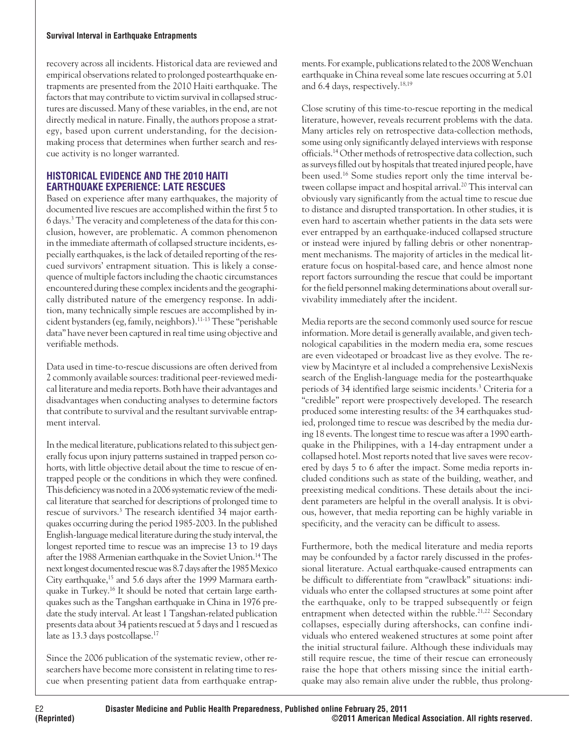recovery across all incidents. Historical data are reviewed and empirical observations related to prolonged postearthquake entrapments are presented from the 2010 Haiti earthquake. The factors that may contribute to victim survival in collapsed structures are discussed. Many of these variables, in the end, are not directly medical in nature. Finally, the authors propose a strategy, based upon current understanding, for the decisionmaking process that determines when further search and rescue activity is no longer warranted.

## **HISTORICAL EVIDENCE AND THE 2010 HAITI EARTHQUAKE EXPERIENCE: LATE RESCUES**

Based on experience after many earthquakes, the majority of documented live rescues are accomplished within the first 5 to 6 days.3 The veracity and completeness of the data for this conclusion, however, are problematic. A common phenomenon in the immediate aftermath of collapsed structure incidents, especially earthquakes, is the lack of detailed reporting of the rescued survivors' entrapment situation. This is likely a consequence of multiple factors including the chaotic circumstances encountered during these complex incidents and the geographically distributed nature of the emergency response. In addition, many technically simple rescues are accomplished by incident bystanders (eg, family, neighbors).11-13 These "perishable data" have never been captured in real time using objective and verifiable methods.

Data used in time-to-rescue discussions are often derived from 2 commonly available sources: traditional peer-reviewed medical literature and media reports. Both have their advantages and disadvantages when conducting analyses to determine factors that contribute to survival and the resultant survivable entrapment interval.

In the medical literature, publications related to this subject generally focus upon injury patterns sustained in trapped person cohorts, with little objective detail about the time to rescue of entrapped people or the conditions in which they were confined. This deficiency was noted in a 2006 systematic review of the medical literature that searched for descriptions of prolonged time to rescue of survivors.3 The research identified 34 major earthquakes occurring during the period 1985-2003. In the published English-language medical literature during the study interval, the longest reported time to rescue was an imprecise 13 to 19 days after the 1988 Armenian earthquake in the Soviet Union.14 The next longest documented rescue was 8.7 days after the 1985 Mexico City earthquake,<sup>15</sup> and 5.6 days after the 1999 Marmara earthquake in Turkey.16 It should be noted that certain large earthquakes such as the Tangshan earthquake in China in 1976 predate the study interval. At least 1 Tangshan-related publication presents data about 34 patients rescued at 5 days and 1 rescued as late as 13.3 days postcollapse.<sup>17</sup>

Since the 2006 publication of the systematic review, other researchers have become more consistent in relating time to rescue when presenting patient data from earthquake entrapments. For example, publications related to the 2008 Wenchuan earthquake in China reveal some late rescues occurring at 5.01 and 6.4 days, respectively.18,19

Close scrutiny of this time-to-rescue reporting in the medical literature, however, reveals recurrent problems with the data. Many articles rely on retrospective data-collection methods, some using only significantly delayed interviews with response officials.14 Other methods of retrospective data collection, such as surveys filled out by hospitals that treated injured people, have been used.16 Some studies report only the time interval between collapse impact and hospital arrival.<sup>20</sup> This interval can obviously vary significantly from the actual time to rescue due to distance and disrupted transportation. In other studies, it is even hard to ascertain whether patients in the data sets were ever entrapped by an earthquake-induced collapsed structure or instead were injured by falling debris or other nonentrapment mechanisms. The majority of articles in the medical literature focus on hospital-based care, and hence almost none report factors surrounding the rescue that could be important for the field personnel making determinations about overall survivability immediately after the incident.

Media reports are the second commonly used source for rescue information. More detail is generally available, and given technological capabilities in the modern media era, some rescues are even videotaped or broadcast live as they evolve. The review by Macintyre et al included a comprehensive LexisNexis search of the English-language media for the postearthquake periods of 34 identified large seismic incidents.3 Criteria for a "credible" report were prospectively developed. The research produced some interesting results: of the 34 earthquakes studied, prolonged time to rescue was described by the media during 18 events. The longest time to rescue was after a 1990 earthquake in the Philippines, with a 14-day entrapment under a collapsed hotel. Most reports noted that live saves were recovered by days 5 to 6 after the impact. Some media reports included conditions such as state of the building, weather, and preexisting medical conditions. These details about the incident parameters are helpful in the overall analysis. It is obvious, however, that media reporting can be highly variable in specificity, and the veracity can be difficult to assess.

Furthermore, both the medical literature and media reports may be confounded by a factor rarely discussed in the professional literature. Actual earthquake-caused entrapments can be difficult to differentiate from "crawlback" situations: individuals who enter the collapsed structures at some point after the earthquake, only to be trapped subsequently or feign entrapment when detected within the rubble.<sup>21,22</sup> Secondary collapses, especially during aftershocks, can confine individuals who entered weakened structures at some point after the initial structural failure. Although these individuals may still require rescue, the time of their rescue can erroneously raise the hope that others missing since the initial earthquake may also remain alive under the rubble, thus prolong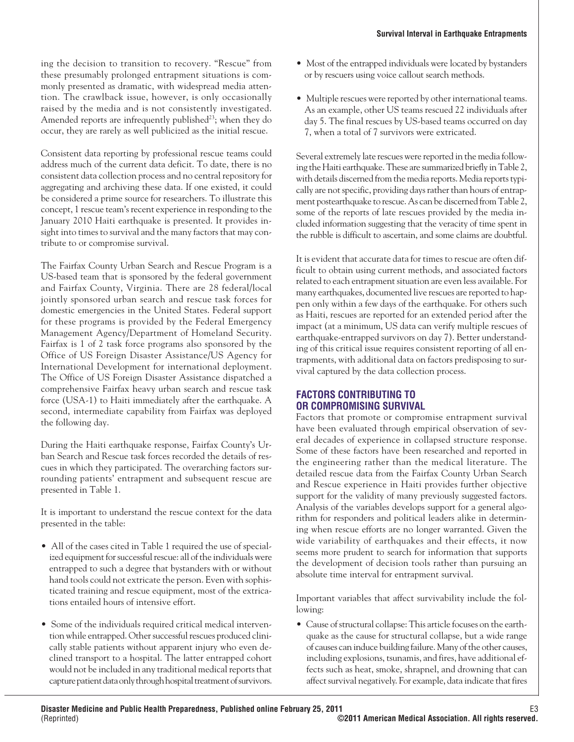ing the decision to transition to recovery. "Rescue" from these presumably prolonged entrapment situations is commonly presented as dramatic, with widespread media attention. The crawlback issue, however, is only occasionally raised by the media and is not consistently investigated. Amended reports are infrequently published<sup>23</sup>; when they do occur, they are rarely as well publicized as the initial rescue.

Consistent data reporting by professional rescue teams could address much of the current data deficit. To date, there is no consistent data collection process and no central repository for aggregating and archiving these data. If one existed, it could be considered a prime source for researchers. To illustrate this concept, 1 rescue team's recent experience in responding to the January 2010 Haiti earthquake is presented. It provides insight into times to survival and the many factors that may contribute to or compromise survival.

The Fairfax County Urban Search and Rescue Program is a US-based team that is sponsored by the federal government and Fairfax County, Virginia. There are 28 federal/local jointly sponsored urban search and rescue task forces for domestic emergencies in the United States. Federal support for these programs is provided by the Federal Emergency Management Agency/Department of Homeland Security. Fairfax is 1 of 2 task force programs also sponsored by the Office of US Foreign Disaster Assistance/US Agency for International Development for international deployment. The Office of US Foreign Disaster Assistance dispatched a comprehensive Fairfax heavy urban search and rescue task force (USA-1) to Haiti immediately after the earthquake. A second, intermediate capability from Fairfax was deployed the following day.

During the Haiti earthquake response, Fairfax County's Urban Search and Rescue task forces recorded the details of rescues in which they participated. The overarching factors surrounding patients' entrapment and subsequent rescue are presented in Table 1.

It is important to understand the rescue context for the data presented in the table:

- All of the cases cited in Table 1 required the use of specialized equipment for successful rescue: all of the individuals were entrapped to such a degree that bystanders with or without hand tools could not extricate the person. Even with sophisticated training and rescue equipment, most of the extrications entailed hours of intensive effort.
- Some of the individuals required critical medical intervention while entrapped. Other successful rescues produced clinically stable patients without apparent injury who even declined transport to a hospital. The latter entrapped cohort would not be included in any traditional medical reports that capture patient data only through hospital treatment of survivors.
- Most of the entrapped individuals were located by bystanders or by rescuers using voice callout search methods.
- Multiple rescues were reported by other international teams. As an example, other US teams rescued 22 individuals after day 5. The final rescues by US-based teams occurred on day 7, when a total of 7 survivors were extricated.

Several extremely late rescues were reported in the media following the Haiti earthquake. These are summarized briefly in Table 2, with details discerned from the media reports. Media reports typically are not specific, providing days rather than hours of entrapment postearthquake to rescue. As can be discerned from Table 2, some of the reports of late rescues provided by the media included information suggesting that the veracity of time spent in the rubble is difficult to ascertain, and some claims are doubtful.

It is evident that accurate data for times to rescue are often difficult to obtain using current methods, and associated factors related to each entrapment situation are even less available. For many earthquakes, documented live rescues are reported to happen only within a few days of the earthquake. For others such as Haiti, rescues are reported for an extended period after the impact (at a minimum, US data can verify multiple rescues of earthquake-entrapped survivors on day 7). Better understanding of this critical issue requires consistent reporting of all entrapments, with additional data on factors predisposing to survival captured by the data collection process.

## **FACTORS CONTRIBUTING TO OR COMPROMISING SURVIVAL**

Factors that promote or compromise entrapment survival have been evaluated through empirical observation of several decades of experience in collapsed structure response. Some of these factors have been researched and reported in the engineering rather than the medical literature. The detailed rescue data from the Fairfax County Urban Search and Rescue experience in Haiti provides further objective support for the validity of many previously suggested factors. Analysis of the variables develops support for a general algorithm for responders and political leaders alike in determining when rescue efforts are no longer warranted. Given the wide variability of earthquakes and their effects, it now seems more prudent to search for information that supports the development of decision tools rather than pursuing an absolute time interval for entrapment survival.

Important variables that affect survivability include the following:

• Cause of structural collapse: This article focuses on the earthquake as the cause for structural collapse, but a wide range of causes can induce building failure. Many of the other causes, including explosions, tsunamis, and fires, have additional effects such as heat, smoke, shrapnel, and drowning that can affect survival negatively. For example, data indicate that fires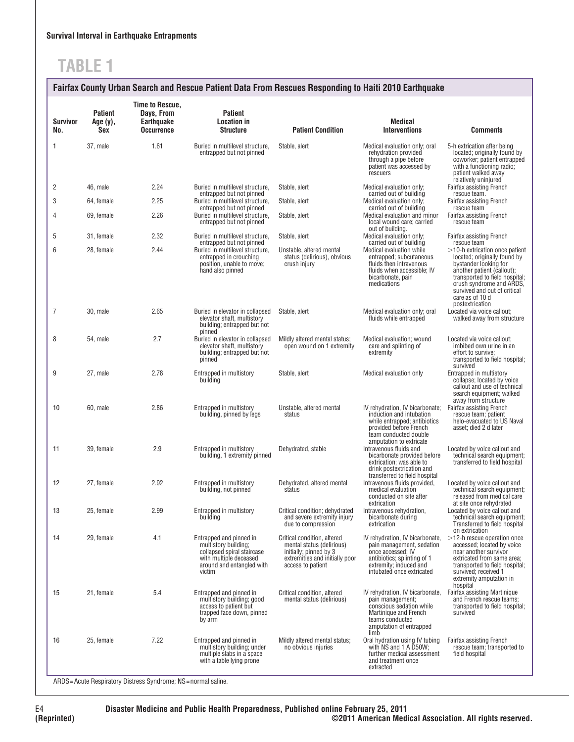# **TABLE 1**

## **Fairfax County Urban Search and Rescue Patient Data From Rescues Responding to Haiti 2010 Earthquake**

| Survivor<br>No. | <b>Patient</b><br>Age (y),<br>Sex | <b>Time to Rescue,</b><br>Days, From<br><b>Earthquake</b><br><b>Occurrence</b> | <b>Patient</b><br><b>Location in</b><br><b>Structure</b>                                                                                       | <b>Patient Condition</b>                                                                                                                  | Medical<br><b>Interventions</b>                                                                                                                                           | <b>Comments</b>                                                                                                                                                                                                                                              |
|-----------------|-----------------------------------|--------------------------------------------------------------------------------|------------------------------------------------------------------------------------------------------------------------------------------------|-------------------------------------------------------------------------------------------------------------------------------------------|---------------------------------------------------------------------------------------------------------------------------------------------------------------------------|--------------------------------------------------------------------------------------------------------------------------------------------------------------------------------------------------------------------------------------------------------------|
| 1               | 37, male                          | 1.61                                                                           | Buried in multilevel structure,<br>entrapped but not pinned                                                                                    | Stable, alert                                                                                                                             | Medical evaluation only; oral<br>rehydration provided<br>through a pipe before<br>patient was accessed by<br>rescuers                                                     | 5-h extrication after being<br>located; originally found by<br>coworker; patient entrapped<br>with a functioning radio;<br>patient walked away<br>relatively uninjured                                                                                       |
| 2               | 46, male                          | 2.24                                                                           | Buried in multilevel structure,<br>entrapped but not pinned                                                                                    | Stable, alert                                                                                                                             | Medical evaluation only;<br>carried out of building                                                                                                                       | Fairfax assisting French<br>rescue team.                                                                                                                                                                                                                     |
| 3               | 64, female                        | 2.25                                                                           | Buried in multilevel structure,<br>entrapped but not pinned                                                                                    | Stable, alert                                                                                                                             | Medical evaluation only;<br>carried out of building                                                                                                                       | Fairfax assisting French<br>rescue team                                                                                                                                                                                                                      |
| 4               | 69, female                        | 2.26                                                                           | Buried in multilevel structure,<br>entrapped but not pinned                                                                                    | Stable, alert                                                                                                                             | Medical evaluation and minor<br>local wound care; carried<br>out of building.                                                                                             | <b>Fairfax assisting French</b><br>rescue team                                                                                                                                                                                                               |
| 5               | 31, female                        | 2.32                                                                           | Buried in multilevel structure.<br>entrapped but not pinned                                                                                    | Stable, alert                                                                                                                             | Medical evaluation only:<br>carried out of building                                                                                                                       | <b>Fairfax assisting French</b><br>rescue team                                                                                                                                                                                                               |
| 6               | 28, female                        | 2.44                                                                           | Buried in multilevel structure,<br>entrapped in crouching<br>position, unable to move;<br>hand also pinned                                     | Unstable, altered mental<br>status (delirious), obvious<br>crush injury                                                                   | Medical evaluation while<br>entrapped; subcutaneous<br>fluids then intravenous<br>fluids when accessible; IV<br>bicarbonate, pain<br>medications                          | $>$ 10-h extrication once patient<br>located; originally found by<br>bystander looking for<br>another patient (callout);<br>transported to field hospital;<br>crush syndrome and ARDS,<br>survived and out of critical<br>care as of 10 d<br>postextrication |
| 7               | 30, male                          | 2.65                                                                           | Buried in elevator in collapsed<br>elevator shaft, multistory<br>building; entrapped but not<br>pinned                                         | Stable, alert                                                                                                                             | Medical evaluation only; oral<br>fluids while entrapped                                                                                                                   | Located via voice callout;<br>walked away from structure                                                                                                                                                                                                     |
| 8               | 54, male                          | 2.7                                                                            | Buried in elevator in collapsed<br>elevator shaft, multistory<br>building; entrapped but not<br>pinned                                         | Mildly altered mental status;<br>open wound on 1 extremity                                                                                | Medical evaluation; wound<br>care and splinting of<br>extremity                                                                                                           | Located via voice callout;<br>imbibed own urine in an<br>effort to survive;<br>transported to field hospital;<br>survived                                                                                                                                    |
| 9               | 27, male                          | 2.78                                                                           | Entrapped in multistory<br>building                                                                                                            | Stable, alert                                                                                                                             | Medical evaluation only                                                                                                                                                   | Entrapped in multistory<br>collapse; located by voice<br>callout and use of technical<br>search equipment; walked<br>away from structure                                                                                                                     |
| 10              | 60, male                          | 2.86                                                                           | Entrapped in multistory<br>building, pinned by legs                                                                                            | Unstable, altered mental<br>status                                                                                                        | IV rehydration, IV bicarbonate;<br>induction and intubation<br>while entrapped; antibiotics<br>provided before French<br>team conducted double<br>amputation to extricate | <b>Fairfax assisting French</b><br>rescue team; patient<br>helo-evacuated to US Naval<br>asset; died 2 d later                                                                                                                                               |
| 11              | 39, female                        | 2.9                                                                            | Entrapped in multistory<br>building, 1 extremity pinned                                                                                        | Dehydrated, stable                                                                                                                        | Intravenous fluids and<br>bicarbonate provided before<br>extrication; was able to<br>drink postextrication and<br>transferred to field hospital                           | Located by voice callout and<br>technical search equipment;<br>transferred to field hospital                                                                                                                                                                 |
| 12              | 27, female                        | 2.92                                                                           | Entrapped in multistory<br>building, not pinned                                                                                                | Dehydrated, altered mental<br>status                                                                                                      | Intravenous fluids provided,<br>medical evaluation<br>conducted on site after<br>extrication                                                                              | Located by voice callout and<br>technical search equipment;<br>released from medical care<br>at site once rehydrated                                                                                                                                         |
| 13              | 25, female                        | 2.99                                                                           | Entrapped in multistory<br>building                                                                                                            | Critical condition; dehydrated<br>and severe extremity injury<br>due to compression                                                       | Intravenous rehydration,<br>bicarbonate during<br>extrication                                                                                                             | Located by voice callout and<br>technical search equipment;<br>Transferred to field hospital<br>on extrication                                                                                                                                               |
| 14              | 29, female                        | 4.1                                                                            | Entrapped and pinned in<br>multistory building;<br>collapsed spiral staircase<br>with multiple deceased<br>around and entangled with<br>victim | Critical condition, altered<br>mental status (delirious)<br>initially; pinned by 3<br>extremities and initially poor<br>access to patient | IV rehydration, IV bicarbonate,<br>pain management, sedation<br>once accessed; IV<br>antibiotics; splinting of 1<br>extremity; induced and<br>intubated once extricated   | >12-h rescue operation once<br>accessed; located by voice<br>near another survivor<br>extricated from same area;<br>transported to field hospital;<br>survived; received 1<br>extremity amputation in<br>hospital                                            |
| 15              | 21, female                        | 5.4                                                                            | Entrapped and pinned in<br>multistory building; good<br>access to patient but<br>trapped face down, pinned<br>by arm                           | Critical condition, altered<br>mental status (delirious)                                                                                  | IV rehydration, IV bicarbonate,<br>pain management;<br>conscious sedation while<br>Martinique and French<br>teams conducted<br>amputation of entrapped<br>limb            | <b>Fairfax assisting Martinique</b><br>and French rescue teams;<br>transported to field hospital;<br>survived                                                                                                                                                |
| 16              | 25, female                        | 7.22                                                                           | Entrapped and pinned in<br>multistory building; under<br>multiple slabs in a space<br>with a table lying prone                                 | Mildly altered mental status;<br>no obvious injuries                                                                                      | Oral hydration using IV tubing<br>with NS and 1 A D50W;<br>further medical assessment<br>and treatment once<br>extracted                                                  | <b>Fairfax assisting French</b><br>rescue team; transported to<br>field hospital                                                                                                                                                                             |
|                 |                                   | ARDS=Acute Respiratory Distress Syndrome; NS=normal saline.                    |                                                                                                                                                |                                                                                                                                           |                                                                                                                                                                           |                                                                                                                                                                                                                                                              |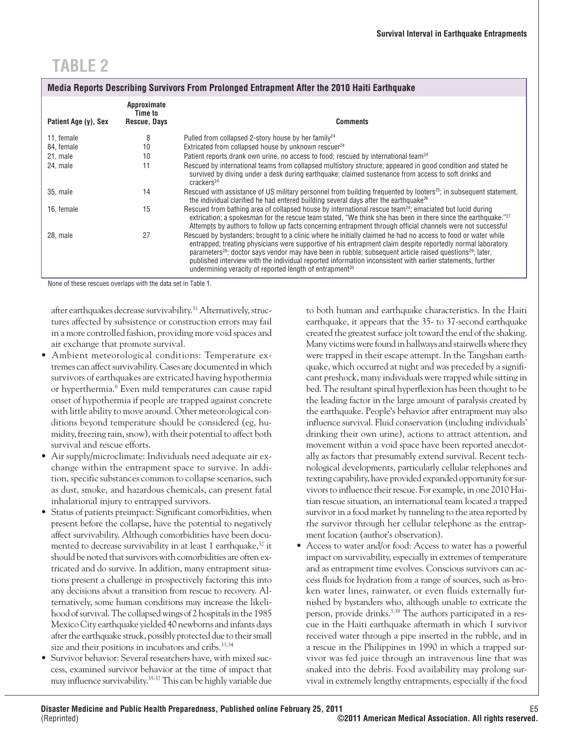# **TABLE 2**

#### **Media Reports Describing Survivors From Prolonged Entrapment After the 2010 Haiti Earthquake Patient Age (y), Sex Approximate Time to** Rescue, Days **Comments** 11, female 8 8 Pulled from collapsed 2-story house by her family<sup>24</sup> 84, female 10 Extricated from collapsed house by unknown rescuer<sup>24</sup> 21, male 10 Patient reports drank own urine, no access to food; rescued by international team<sup>24</sup> 24, male 11 Rescued by international teams from collapsed multistory structure; appeared in good condition and stated he survived by diving under a desk during earthquake; claimed sustenance from access to soft drinks and crackers<sup>24</sup> 35, male 14 Rescued with assistance of US military personnel from building frequented by looters<sup>25</sup>; in subsequent statement, the individual clarified he had entered building several days after the earthquake<sup>26</sup> 16, female 15 Rescued from bathing area of collapsed house by international rescue team<sup>24</sup>; emaciated but lucid during extrication; a spokesman for the rescue team stated, "We think she has been in there since the earthquake."<sup>27</sup> Attempts by authors to follow up facts concerning entrapment through official channels were not successful 28, male 27 Rescued by bystanders; brought to a clinic where he initially claimed he had no access to food or water while entrapped; treating physicians were supportive of his entrapment claim despite reportedly normal laboratory parameters<sup>28</sup>; doctor says vendor may have been in rubble; subsequent article raised questions<sup>29</sup>; later, published interview with the individual reported information inconsistent with earlier statements, further undermining veracity of reported length of entrapment $30$

None of these rescues overlaps with the data set in Table 1.

after earthquakes decrease survivability.<sup>31</sup> Alternatively, structures affected by subsistence or construction errors may fail in a more controlled fashion, providing more void spaces and air exchange that promote survival.

- Ambient meteorological conditions: Temperature extremes can affect survivability. Cases are documented in which survivors of earthquakes are extricated having hypothermia or hyperthermia.6 Even mild temperatures can cause rapid onset of hypothermia if people are trapped against concrete with little ability to move around. Other meteorological conditions beyond temperature should be considered (eg, humidity, freezing rain, snow), with their potential to affect both survival and rescue efforts.
- Air supply/microclimate: Individuals need adequate air exchange within the entrapment space to survive. In addition, specific substances common to collapse scenarios, such as dust, smoke, and hazardous chemicals, can present fatal inhalational injury to entrapped survivors.
- Status of patients preimpact: Significant comorbidities, when present before the collapse, have the potential to negatively affect survivability. Although comorbidities have been documented to decrease survivability in at least 1 earthquake,<sup>32</sup> it should be noted that survivors with comorbidities are often extricated and do survive. In addition, many entrapment situations present a challenge in prospectively factoring this into any decisions about a transition from rescue to recovery. Alternatively, some human conditions may increase the likelihood of survival. The collapsed wings of 2 hospitals in the 1985 Mexico City earthquake yielded 40 newborns and infants days after the earthquake struck, possibly protected due to their small size and their positions in incubators and cribs.<sup>33,34</sup>
- Survivor behavior: Several researchers have, with mixed success, examined survivor behavior at the time of impact that may influence survivability.35-37This can be highly variable due

to both human and earthquake characteristics. In the Haiti earthquake, it appears that the 35- to 37-second earthquake created the greatest surface jolt toward the end of the shaking. Many victims were found in hallways and stairwells where they were trapped in their escape attempt. In the Tangshan earthquake, which occurred at night and was preceded by a significant preshock, many individuals were trapped while sitting in bed. The resultant spinal hyperflexion has been thought to be the leading factor in the large amount of paralysis created by the earthquake. People's behavior after entrapment may also influence survival. Fluid conservation (including individuals' drinking their own urine), actions to attract attention, and movement within a void space have been reported anecdotally as factors that presumably extend survival. Recent technological developments, particularly cellular telephones and texting capability, have provided expanded opportunity for survivors to influence their rescue. For example, in one 2010 Haitian rescue situation, an international team located a trapped survivor in a food market by tunneling to the area reported by the survivor through her cellular telephone as the entrapment location (author's observation).

• Access to water and/or food: Access to water has a powerful impact on survivability, especially in extremes of temperature and as entrapment time evolves. Conscious survivors can access fluids for hydration from a range of sources, such as broken water lines, rainwater, or even fluids externally furnished by bystanders who, although unable to extricate the person, provide drinks.<sup>3,38</sup> The authors participated in a rescue in the Haiti earthquake aftermath in which 1 survivor received water through a pipe inserted in the rubble, and in a rescue in the Philippines in 1990 in which a trapped survivor was fed juice through an intravenous line that was snaked into the debris. Food availability may prolong survival in extremely lengthy entrapments, especially if the food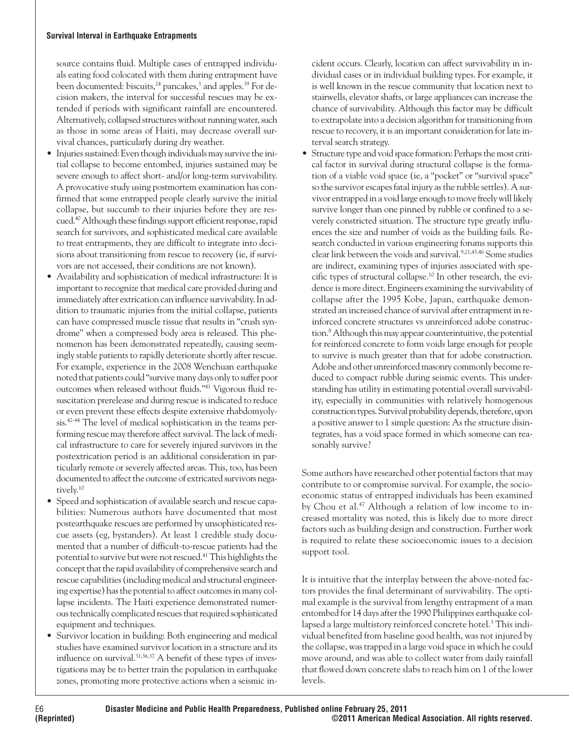source contains fluid. Multiple cases of entrapped individuals eating food colocated with them during entrapment have been documented: biscuits,  $24$  pancakes,  $3$  and apples.  $39$  For decision makers, the interval for successful rescues may be extended if periods with significant rainfall are encountered. Alternatively, collapsed structures without running water, such as those in some areas of Haiti, may decrease overall survival chances, particularly during dry weather.

- Injuries sustained: Even though individuals may survive the initial collapse to become entombed, injuries sustained may be severe enough to affect short- and/or long-term survivability. A provocative study using postmortem examination has confirmed that some entrapped people clearly survive the initial collapse, but succumb to their injuries before they are rescued.<sup>40</sup> Although these findings support efficient response, rapid search for survivors, and sophisticated medical care available to treat entrapments, they are difficult to integrate into decisions about transitioning from rescue to recovery (ie, if survivors are not accessed, their conditions are not known).
- Availability and sophistication of medical infrastructure: It is important to recognize that medical care provided during and immediately after extrication can influence survivability. In addition to traumatic injuries from the initial collapse, patients can have compressed muscle tissue that results in "crush syndrome" when a compressed body area is released. This phenomenon has been demonstrated repeatedly, causing seemingly stable patients to rapidly deteriorate shortly after rescue. For example, experience in the 2008 Wenchuan earthquake noted that patients could "survive many days only to suffer poor outcomes when released without fluids."41 Vigorous fluid resuscitation prerelease and during rescue is indicated to reduce or even prevent these effects despite extensive rhabdomyolysis.42-44 The level of medical sophistication in the teams performing rescue may therefore affect survival. The lack of medical infrastructure to care for severely injured survivors in the postextrication period is an additional consideration in particularly remote or severely affected areas. This, too, has been documented to affect the outcome of extricated survivors negatively.10
- Speed and sophistication of available search and rescue capabilities: Numerous authors have documented that most postearthquake rescues are performed by unsophisticated rescue assets (eg, bystanders). At least 1 credible study documented that a number of difficult-to-rescue patients had the potential to survive but were not rescued.<sup>41</sup> This highlights the concept that the rapid availability of comprehensive search and rescue capabilities (including medical and structural engineering expertise) has the potential to affect outcomes in many collapse incidents. The Haiti experience demonstrated numerous technically complicated rescues that required sophisticated equipment and techniques.
- Survivor location in building: Both engineering and medical studies have examined survivor location in a structure and its influence on survival.31,36,37 A benefit of these types of investigations may be to better train the population in earthquake zones, promoting more protective actions when a seismic in-

cident occurs. Clearly, location can affect survivability in individual cases or in individual building types. For example, it is well known in the rescue community that location next to stairwells, elevator shafts, or large appliances can increase the chance of survivability. Although this factor may be difficult to extrapolate into a decision algorithm for transitioning from rescue to recovery, it is an important consideration for late interval search strategy.

• Structure type and void space formation: Perhaps the most critical factor in survival during structural collapse is the formation of a viable void space (ie, a "pocket" or "survival space" so the survivor escapes fatal injury as the rubble settles). A survivor entrapped in a void large enough to move freely will likely survive longer than one pinned by rubble or confined to a severely constricted situation. The structure type greatly influences the size and number of voids as the building fails. Research conducted in various engineering forums supports this clear link between the voids and survival.9,21,45,46 Some studies are indirect, examining types of injuries associated with specific types of structural collapse.10 In other research, the evidence is more direct. Engineers examining the survivability of collapse after the 1995 Kobe, Japan, earthquake demonstrated an increased chance of survival after entrapment in reinforced concrete structures vs unreinforced adobe construction.8Although this may appear counterintuitive, the potential for reinforced concrete to form voids large enough for people to survive is much greater than that for adobe construction. Adobe and other unreinforced masonry commonly become reduced to compact rubble during seismic events. This understanding has utility in estimating potential overall survivability, especially in communities with relatively homogenous construction types. Survival probability depends, therefore, upon a positive answer to 1 simple question: As the structure disintegrates, has a void space formed in which someone can reasonably survive?

Some authors have researched other potential factors that may contribute to or compromise survival. For example, the socioeconomic status of entrapped individuals has been examined by Chou et al.<sup>47</sup> Although a relation of low income to increased mortality was noted, this is likely due to more direct factors such as building design and construction. Further work is required to relate these socioeconomic issues to a decision support tool.

It is intuitive that the interplay between the above-noted factors provides the final determinant of survivability. The optimal example is the survival from lengthy entrapment of a man entombed for 14 days after the 1990 Philippines earthquake collapsed a large multistory reinforced concrete hotel.<sup>3</sup> This individual benefited from baseline good health, was not injured by the collapse, was trapped in a large void space in which he could move around, and was able to collect water from daily rainfall that flowed down concrete slabs to reach him on 1 of the lower levels.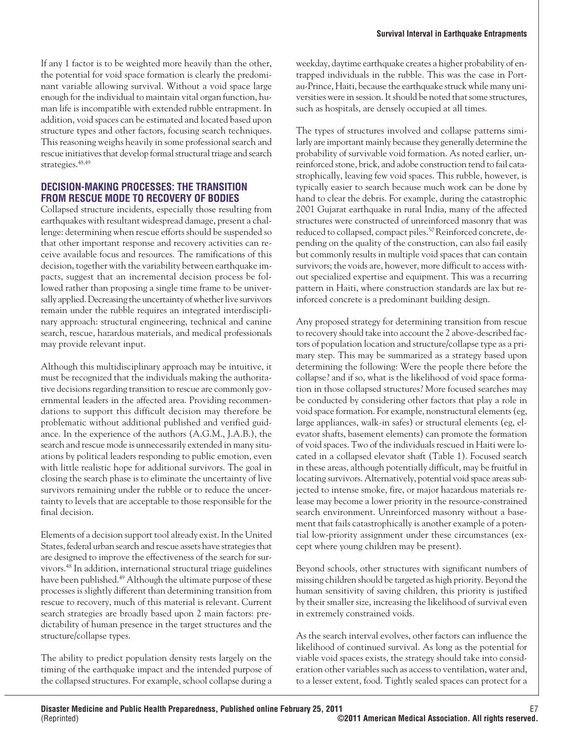If any 1 factor is to be weighted more heavily than the other, the potential for void space formation is clearly the predominant variable allowing survival. Without a void space large enough for the individual to maintain vital organ function, human life is incompatible with extended rubble entrapment. In addition, void spaces can be estimated and located based upon structure types and other factors, focusing search techniques. This reasoning weighs heavily in some professional search and rescue initiatives that develop formal structural triage and search strategies.<sup>48,49</sup>

### **DECISION-MAKING PROCESSES: THE TRANSITION FROM RESCUE MODE TO RECOVERY OF BODIES**

Collapsed structure incidents, especially those resulting from earthquakes with resultant widespread damage, present a challenge: determining when rescue efforts should be suspended so that other important response and recovery activities can receive available focus and resources. The ramifications of this decision, together with the variability between earthquake impacts, suggest that an incremental decision process be followed rather than proposing a single time frame to be universally applied. Decreasing the uncertainty of whether live survivors remain under the rubble requires an integrated interdisciplinary approach: structural engineering, technical and canine search, rescue, hazardous materials, and medical professionals may provide relevant input.

Although this multidisciplinary approach may be intuitive, it must be recognized that the individuals making the authoritative decisions regarding transition to rescue are commonly governmental leaders in the affected area. Providing recommendations to support this difficult decision may therefore be problematic without additional published and verified guidance. In the experience of the authors (A.G.M., J.A.B.), the search and rescue mode is unnecessarily extended in many situations by political leaders responding to public emotion, even with little realistic hope for additional survivors. The goal in closing the search phase is to eliminate the uncertainty of live survivors remaining under the rubble or to reduce the uncertainty to levels that are acceptable to those responsible for the final decision.

Elements of a decision support tool already exist. In the United States, federal urban search and rescue assets have strategies that are designed to improve the effectiveness of the search for survivors.48 In addition, international structural triage guidelines have been published.<sup>49</sup> Although the ultimate purpose of these processes is slightly different than determining transition from rescue to recovery, much of this material is relevant. Current search strategies are broadly based upon 2 main factors: predictability of human presence in the target structures and the structure/collapse types.

The ability to predict population density rests largely on the timing of the earthquake impact and the intended purpose of the collapsed structures. For example, school collapse during a weekday, daytime earthquake creates a higher probability of entrapped individuals in the rubble. This was the case in Portau-Prince, Haiti, because the earthquake struck while many universities were in session. It should be noted that some structures, such as hospitals, are densely occupied at all times.

The types of structures involved and collapse patterns similarly are important mainly because they generally determine the probability of survivable void formation. As noted earlier, unreinforced stone, brick, and adobe construction tend to fail catastrophically, leaving few void spaces. This rubble, however, is typically easier to search because much work can be done by hand to clear the debris. For example, during the catastrophic 2001 Gujarat earthquake in rural India, many of the affected structures were constructed of unreinforced masonry that was reduced to collapsed, compact piles.<sup>50</sup> Reinforced concrete, depending on the quality of the construction, can also fail easily but commonly results in multiple void spaces that can contain survivors; the voids are, however, more difficult to access without specialized expertise and equipment. This was a recurring pattern in Haiti, where construction standards are lax but reinforced concrete is a predominant building design.

Any proposed strategy for determining transition from rescue to recovery should take into account the 2 above-described factors of population location and structure/collapse type as a primary step. This may be summarized as a strategy based upon determining the following: Were the people there before the collapse? and if so, what is the likelihood of void space formation in those collapsed structures? More focused searches may be conducted by considering other factors that play a role in void space formation. For example, nonstructural elements (eg, large appliances, walk-in safes) or structural elements (eg, elevator shafts, basement elements) can promote the formation of void spaces. Two of the individuals rescued in Haiti were located in a collapsed elevator shaft (Table 1). Focused search in these areas, although potentially difficult, may be fruitful in locating survivors. Alternatively, potential void space areas subjected to intense smoke, fire, or major hazardous materials release may become a lower priority in the resource-constrained search environment. Unreinforced masonry without a basement that fails catastrophically is another example of a potential low-priority assignment under these circumstances (except where young children may be present).

Beyond schools, other structures with significant numbers of missing children should be targeted as high priority. Beyond the human sensitivity of saving children, this priority is justified by their smaller size, increasing the likelihood of survival even in extremely constrained voids.

As the search interval evolves, other factors can influence the likelihood of continued survival. As long as the potential for viable void spaces exists, the strategy should take into consideration other variables such as access to ventilation, water and, to a lesser extent, food. Tightly sealed spaces can protect for a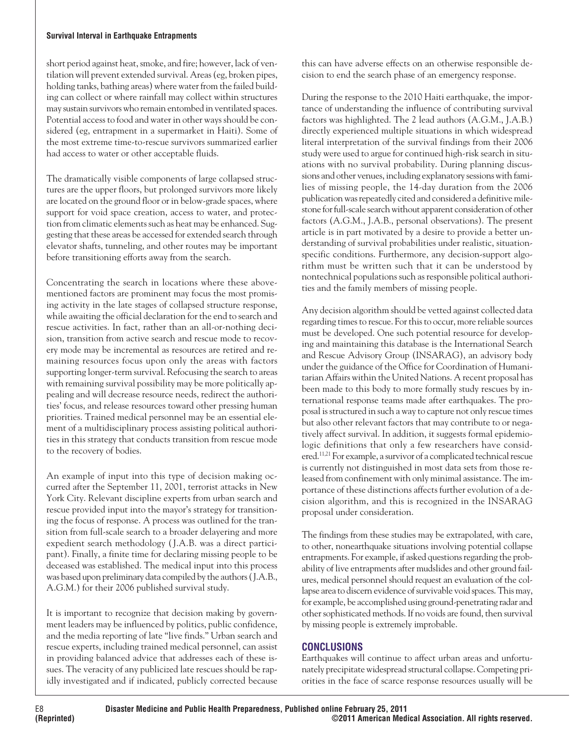#### **Survival Interval in Earthquake Entrapments**

short period against heat, smoke, and fire; however, lack of ventilation will prevent extended survival. Areas (eg, broken pipes, holding tanks, bathing areas) where water from the failed building can collect or where rainfall may collect within structures may sustain survivors who remain entombed in ventilated spaces. Potential access to food and water in other ways should be considered (eg, entrapment in a supermarket in Haiti). Some of the most extreme time-to-rescue survivors summarized earlier had access to water or other acceptable fluids.

The dramatically visible components of large collapsed structures are the upper floors, but prolonged survivors more likely are located on the ground floor or in below-grade spaces, where support for void space creation, access to water, and protection from climatic elements such as heat may be enhanced. Suggesting that these areas be accessed for extended search through elevator shafts, tunneling, and other routes may be important before transitioning efforts away from the search.

Concentrating the search in locations where these abovementioned factors are prominent may focus the most promising activity in the late stages of collapsed structure response, while awaiting the official declaration for the end to search and rescue activities. In fact, rather than an all-or-nothing decision, transition from active search and rescue mode to recovery mode may be incremental as resources are retired and remaining resources focus upon only the areas with factors supporting longer-term survival. Refocusing the search to areas with remaining survival possibility may be more politically appealing and will decrease resource needs, redirect the authorities' focus, and release resources toward other pressing human priorities. Trained medical personnel may be an essential element of a multidisciplinary process assisting political authorities in this strategy that conducts transition from rescue mode to the recovery of bodies.

An example of input into this type of decision making occurred after the September 11, 2001, terrorist attacks in New York City. Relevant discipline experts from urban search and rescue provided input into the mayor's strategy for transitioning the focus of response. A process was outlined for the transition from full-scale search to a broader delayering and more expedient search methodology (J.A.B. was a direct participant). Finally, a finite time for declaring missing people to be deceased was established. The medical input into this process was based upon preliminary data compiled by the authors (J.A.B., A.G.M.) for their 2006 published survival study.

It is important to recognize that decision making by government leaders may be influenced by politics, public confidence, and the media reporting of late "live finds." Urban search and rescue experts, including trained medical personnel, can assist in providing balanced advice that addresses each of these issues. The veracity of any publicized late rescues should be rapidly investigated and if indicated, publicly corrected because

this can have adverse effects on an otherwise responsible decision to end the search phase of an emergency response.

During the response to the 2010 Haiti earthquake, the importance of understanding the influence of contributing survival factors was highlighted. The 2 lead authors (A.G.M., J.A.B.) directly experienced multiple situations in which widespread literal interpretation of the survival findings from their 2006 study were used to argue for continued high-risk search in situations with no survival probability. During planning discussions and other venues, including explanatory sessions with families of missing people, the 14-day duration from the 2006 publication was repeatedly cited and considered a definitive milestone for full-scale search without apparent consideration of other factors (A.G.M., J.A.B., personal observations). The present article is in part motivated by a desire to provide a better understanding of survival probabilities under realistic, situationspecific conditions. Furthermore, any decision-support algorithm must be written such that it can be understood by nontechnical populations such as responsible political authorities and the family members of missing people.

Any decision algorithm should be vetted against collected data regarding times to rescue. For this to occur, more reliable sources must be developed. One such potential resource for developing and maintaining this database is the International Search and Rescue Advisory Group (INSARAG), an advisory body under the guidance of the Office for Coordination of Humanitarian Affairs within the United Nations. A recent proposal has been made to this body to more formally study rescues by international response teams made after earthquakes. The proposal is structured in such a way to capture not only rescue times but also other relevant factors that may contribute to or negatively affect survival. In addition, it suggests formal epidemiologic definitions that only a few researchers have considered.11,21 For example, a survivor of a complicated technical rescue is currently not distinguished in most data sets from those released from confinement with only minimal assistance. The importance of these distinctions affects further evolution of a decision algorithm, and this is recognized in the INSARAG proposal under consideration.

The findings from these studies may be extrapolated, with care, to other, nonearthquake situations involving potential collapse entrapments. For example, if asked questions regarding the probability of live entrapments after mudslides and other ground failures, medical personnel should request an evaluation of the collapse area to discern evidence of survivable void spaces. This may, for example, be accomplished using ground-penetrating radar and other sophisticated methods. If no voids are found, then survival by missing people is extremely improbable.

## **CONCLUSIONS**

Earthquakes will continue to affect urban areas and unfortunately precipitate widespread structural collapse. Competing priorities in the face of scarce response resources usually will be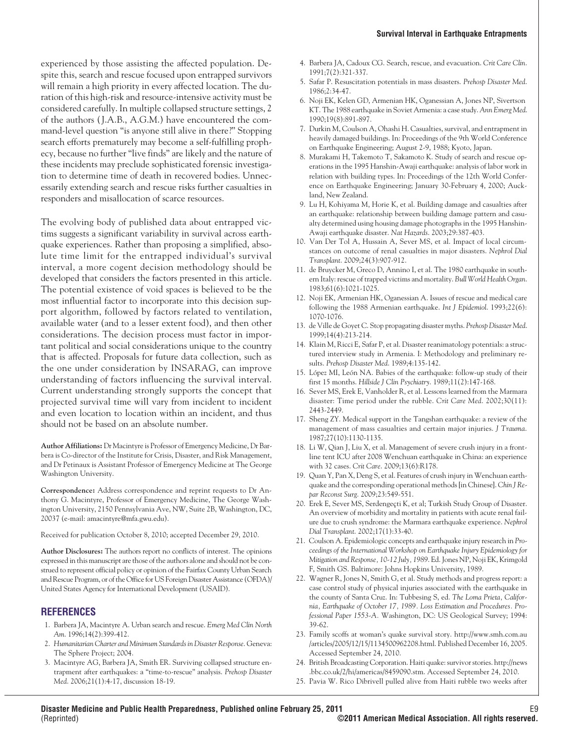experienced by those assisting the affected population. Despite this, search and rescue focused upon entrapped survivors will remain a high priority in every affected location. The duration of this high-risk and resource-intensive activity must be considered carefully. In multiple collapsed structure settings, 2 of the authors ( J.A.B., A.G.M.) have encountered the command-level question "is anyone still alive in there?" Stopping search efforts prematurely may become a self-fulfilling prophecy, because no further "live finds" are likely and the nature of these incidents may preclude sophisticated forensic investigation to determine time of death in recovered bodies. Unnecessarily extending search and rescue risks further casualties in responders and misallocation of scarce resources.

The evolving body of published data about entrapped victims suggests a significant variability in survival across earthquake experiences. Rather than proposing a simplified, absolute time limit for the entrapped individual's survival interval, a more cogent decision methodology should be developed that considers the factors presented in this article. The potential existence of void spaces is believed to be the most influential factor to incorporate into this decision support algorithm, followed by factors related to ventilation, available water (and to a lesser extent food), and then other considerations. The decision process must factor in important political and social considerations unique to the country that is affected. Proposals for future data collection, such as the one under consideration by INSARAG, can improve understanding of factors influencing the survival interval. Current understanding strongly supports the concept that projected survival time will vary from incident to incident and even location to location within an incident, and thus should not be based on an absolute number.

**Author Affiliations:** Dr Macintyre is Professor of Emergency Medicine, Dr Barbera is Co-director of the Institute for Crisis, Disaster, and Risk Management, and Dr Petinaux is Assistant Professor of Emergency Medicine at The George Washington University.

**Correspondence:** Address correspondence and reprint requests to Dr Anthony G. Macintyre, Professor of Emergency Medicine, The George Washington University, 2150 Pennsylvania Ave, NW, Suite 2B, Washington, DC, 20037 (e-mail: amacintyre@mfa.gwu.edu).

Received for publication October 8, 2010; accepted December 29, 2010.

**Author Disclosures:** The authors report no conflicts of interest. The opinions expressed in this manuscript are those of the authors alone and should not be construed to represent official policy or opinion of the Fairfax County Urban Search and Rescue Program, or of the Office for US Foreign Disaster Assistance (OFDA)/ United States Agency for International Development (USAID).

#### **REFERENCES**

- 1. Barbera JA, Macintyre A. Urban search and rescue. *Emerg Med Clin North Am*. 1996;14(2):399-412.
- 2. *Humanitarian Charter and Minimum Standards in Disaster Response*. Geneva: The Sphere Project; 2004.
- 3. Macintyre AG, Barbera JA, Smith ER. Surviving collapsed structure entrapment after earthquakes: a "time-to-rescue" analysis. *Prehosp Disaster Med*. 2006;21(1):4-17, discussion 18-19.
- 4. Barbera JA, Cadoux CG. Search, rescue, and evacuation. *Crit Care Clin*. 1991;7(2):321-337.
- 5. Safar P. Resuscitation potentials in mass disasters. *Prehosp Disaster Med*. 1986;2:34-47.
- 6. Noji EK, Kelen GD, Armenian HK, Oganessian A, Jones NP, Sivertson KT. The 1988 earthquake in Soviet Armenia: a case study. *Ann Emerg Med*. 1990;19(8):891-897.
- 7. Durkin M, Coulson A, Ohashi H. Casualties, survival, and entrapment in heavily damaged buildings. In: Proceedings of the 9th World Conference on Earthquake Engineering; August 2-9, 1988; Kyoto, Japan.
- 8. Murakami H, Takemoto T, Sakamoto K. Study of search and rescue operations in the 1995 Hanshin-Awaji earthquake: analysis of labor work in relation with building types. In: Proceedings of the 12th World Conference on Earthquake Engineering; January 30-February 4, 2000; Auckland, New Zealand.
- 9. Lu H, Kohiyama M, Horie K, et al. Building damage and casualties after an earthquake: relationship between building damage pattern and casualty determined using housing damage photographs in the 1995 Hanshin-Awaji earthquake disaster. *Nat Hazards*. 2003;29:387-403.
- 10. Van Der Tol A, Hussain A, Sever MS, et al. Impact of local circumstances on outcome of renal casualties in major disasters. *Nephrol Dial Transplant*. 2009;24(3):907-912.
- 11. de Bruycker M, Greco D, Annino I, et al. The 1980 earthquake in southern Italy: rescue of trapped victims and mortality. *Bull World Health Organ*. 1983;61(6):1021-1025.
- 12. Noji EK, Armenian HK, Oganessian A. Issues of rescue and medical care following the 1988 Armenian earthquake. *Int J Epidemiol*. 1993;22(6): 1070-1076.
- 13. de Ville de Goyet C. Stop propagating disaster myths. *Prehosp Disaster Med*. 1999;14(4):213-214.
- 14. Klain M, Ricci E, Safar P, et al. Disaster reanimatology potentials: a structured interview study in Armenia. I: Methodology and preliminary results. *Prehosp Disaster Med*. 1989;4:135-142.
- 15. López MI, León NA. Babies of the earthquake: follow-up study of their first 15 months. *Hillside J Clin Psychiatry*. 1989;11(2):147-168.
- 16. Sever MS, Erek E, Vanholder R, et al. Lessons learned from the Marmara disaster: Time period under the rubble. *Crit Care Med*. 2002;30(11): 2443-2449.
- 17. Sheng ZY. Medical support in the Tangshan earthquake: a review of the management of mass casualties and certain major injuries. *J Trauma*. 1987;27(10):1130-1135.
- 18. Li W, Qian J, Liu X, et al. Management of severe crush injury in a frontline tent ICU after 2008 Wenchuan earthquake in China: an experience with 32 cases. *Crit Care*. 2009;13(6):R178.
- 19. Quan Y, Pan X, Deng S, et al. Features of crush injury in Wenchuan earthquake and the corresponding operational methods [in Chinese]. *Chin J Repar Reconst Surg*. 2009;23:549-551.
- 20. Erek E, Sever MS, Serdengeçti K, et al; Turkish Study Group of Disaster. An overview of morbidity and mortality in patients with acute renal failure due to crush syndrome: the Marmara earthquake experience. *Nephrol Dial Transplant*. 2002;17(1):33-40.
- 21. Coulson A. Epidemiologic concepts and earthquake injury research in *Proceedings of the International Workshop on Earthquake Injury Epidemiology for Mitigation and Response, 10-12 July, 1989*. Ed. Jones NP, Noji EK, Krimgold F, Smith GS. Baltimore: Johns Hopkins University, 1989.
- 22. Wagner R, Jones N, Smith G, et al. Study methods and progress report: a case control study of physical injuries associated with the earthquake in the county of Santa Cruz. In: Tubbesing S, ed. *The Loma Prieta, California, Earthquake of October 17, 1989. Loss Estimation and Procedures. Professional Paper 1553-A.* Washington, DC: US Geological Survey; 1994: 39-62.
- 23. Family scoffs at woman's quake survival story. http://www.smh.com.au /articles/2005/12/15/1134500962208.html. Published December 16, 2005. Accessed September 24, 2010.
- 24. British Broadcasting Corporation. Haiti quake: survivor stories. http://news .bbc.co.uk/2/hi/americas/8459090.stm. Accessed September 24, 2010.
- 25. Pavia W. Rico Dibrivell pulled alive from Haiti rubble two weeks after